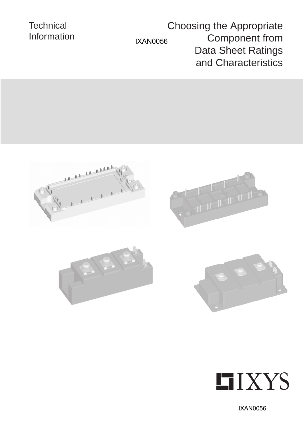# **Technical** Information IXAN0056

Choosing the Appropriate Component from Data Sheet Ratings and Characteristics











IXAN0056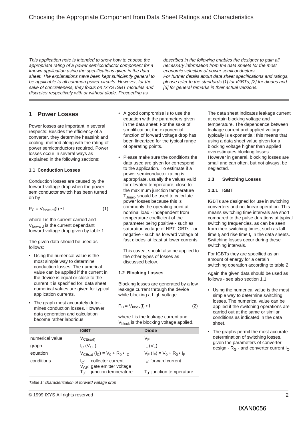## Choosing the Appropriate Component from Data Sheet Ratings and Characteristics

This application note is intended to show how to choose the appropriate rating of a power semiconductor component for a known application using the specifications given in the data sheet. The explanations have been kept sufficiently general to be applicable to all common power circuits. However, for the sake of concreteness, they focus on IXYS IGBT modules and discretes respectively with or without diode. Proceeding as

described in the following enables the designer to gain all necessary information from the data sheets for the most economic selection of power semiconductors. For further details about data sheet specifications and ratings, please refer to the standards [1] for IGBTs, [2] for diodes and [3] for general remarks in their actual versions.

### **1 Power Losses**

Power losses are important in several respects: Besides the efficiency of a converter, they determine heatsink and cooling method along with the rating of power semiconductors required. Power losses occur in several ways as explained in the following sections:

#### **1.1 Conduction Losses**

Conduction losses are caused by the forward voltage drop when the power semiconductor switch has been turned on by

$$
P_C = V_{forward}(I) \cdot I \tag{1}
$$

where I is the current carried and V<sub>forward</sub> is the current dependant forward voltage drop given by table 1.

The given data should be used as follows:

- Using the numerical value is the most simple way to determine conduction losses. The numerical value can be applied if the current in the device is equal or close to the current it is specified for; data sheet numerical values are given for typical application currents.
- The graph most accurately determines conduction losses. However data generation and calculation become rather laborious.
- A good compromise is to use the equation with the parameters given in the data sheet: For the sake of simplification, the exponential function of forward voltage drop has been linearized for the typical range of operating points.
- Please make sure the conditions the data used are given for correspond to the application. To estimate if a power semiconductor rating is appropriate, usually the values valid for elevated temperature, close to the maximum junction temperature TJmax, should be used to calculate power losses because this is commonly the operating point at nominal load - independent from temperature coefficient of the parameter being positive - such as saturation voltage of NPT IGBTs - or negative - such as forward voltage of fast diodes, at least at lower currents.

This caveat should also be applied to the other types of losses as discussed below.

#### **1.2 Blocking Losses**

Blocking losses are generated by a low leakage current through the device while blocking a high voltage

$$
P_{B} = V_{block}(I) \cdot I \tag{2}
$$

where I is the leakage current and V<sub>block</sub> is the blocking voltage applied.

|                 | <b>IGBT</b>                                                                                | <b>Diode</b>                       |
|-----------------|--------------------------------------------------------------------------------------------|------------------------------------|
| numerical value | $V_{CE(sat)}$                                                                              | VF                                 |
| graph           | $I_{C}$ (V <sub>CF</sub> )                                                                 | $I_F(V_F)$                         |
| equation        | $V_{CEsat} (I_C) = V_0 + R_0 \cdot I_C$                                                    | $V_F (I_F) = V_0 + R_0 \cdot I_F$  |
| conditions      | collector current<br>$\mathsf{I}_{\mathsf{C}}$ :<br>V <sub>GE</sub> : gate emitter voltage | $I_F$ : forward current            |
|                 | $T_{\text{J}}$ : junction temperature                                                      | $T_{\rm J}$ : junction temperature |

Table 1: characterization of forward voltage drop

at certain blocking voltage and temperature. The dependence between leakage current and applied voltage typically is exponential; this means that using a data sheet value given for a blocking voltage higher than applied overestimates blocking losses. However in general, blocking losses are small and can often, but not always, be neglected.

The data sheet indicates leakage current

**1.3 Switching Losses**

#### **1.3.1 IGBT**

IGBTs are designed for use in switching converters and not linear operation. This means switching time intervals are short compared to the pulse durations at typical switching frequencies, as can be seen from their switching times, such as fall time  $t_f$  and rise time  $t_r$  in the data sheets. Switching losses occur during these switching intervals.

For IGBTs they are specified as an amount of energy for a certain switching operation according to table 2.

Again the given data should be used as follows - see also section 1.1:

- Using the numerical value is the most simple way to determine switching losses. The numerical value can be applied if the switching operations are carried out at the same or similar conditions as indicated in the data sheet.
- The graphs permit the most accurate determination of switching losses, given the parameters of converter design -  $R_G$  - and converter current  $I_C$ .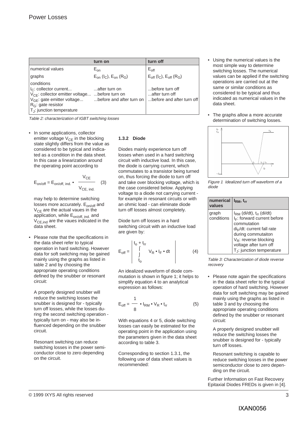|                                                                                                                                                                                                             | turn on                                    | turn off                                                                 |
|-------------------------------------------------------------------------------------------------------------------------------------------------------------------------------------------------------------|--------------------------------------------|--------------------------------------------------------------------------|
| numerical values                                                                                                                                                                                            | $E_{on}$                                   | $E_{\text{off}}$                                                         |
| graphs                                                                                                                                                                                                      | $E_{on}$ ( $I_{C}$ ), $E_{on}$ ( $R_{G}$ ) | $E_{\text{off}}$ ( $I_{\text{C}}$ ), $E_{\text{off}}$ ( $R_{\text{G}}$ ) |
| conditions<br>$I_{\rm C}$ : collector current<br>$V_{CF}$ : collector emitter voltage  before turn on<br>$V_{GE}$ : gate emitter voltage<br>$R_G$ : gate resistor<br>T <sub>.I</sub> : junction temperature | after turn on<br>before and after turn on  | before turn off<br>after turn off<br>before and after turn off           |

Table 2: characterization of IGBT switching losses

• In some applications, collector emitter voltage  $V_{CF}$  in the blocking state slightly differs from the value as considered to be typical and indicated as a condition in the data sheet. In this case a linearization around the operating point according to

$$
E_{on/off} = E_{on/off, ind.} \bullet \frac{V_{CE}}{V_{CE, ind.}}
$$
 (3)

may help to determine switching losses more accurately. E<sub>on/off</sub> and  $V_{CF}$  are the actual vaues in the application, while E<sub>on/off, ind.</sub> and  $V_{CE,ind}$  are the vaues indicated in the data sheet.

• Please note that the specifications in the data sheet refer to typical operation in hard switching. However data for soft switching may be gained mainly using the graphs as listed in table 2 and by choosing the appropriate operating conditions defined by the snubber or resonant circuit:

A properly designed snubber will reduce the switching losses the snubber is designed for - typically turn off losses, while the losses during the second switching operation typically turn on - may also be influenced depending on the snubber circuit.

Resonant switching can reduce switching losses in the power semiconductor close to zero depending on the circuit.

#### **1.3.2 Diode**

Diodes mainly experience turn off losses when used in a hard switching circuit with inductive load. In this case, the diode is carrying current, which commutates to a transistor being turned on, thus forcing the diode to turn off and take over blocking voltage, which is the case considered below. Applying voltage to a diode not carrying current for example in resonant circuits or with an ohmic load - can eliminate diode turn off losses almost completely.

Diode turn off losses in a hard switching circuit with an inductive load are given by:

$$
E_{off} = \begin{vmatrix} t_0 + t_{rr} \\ \int_{t_0}^{t} V_R \cdot I_F \cdot dt \\ \end{vmatrix}
$$
 (4)

An idealized waveform of diode commutation is shown in figure 1; it helps to simplify equation 4 to an analytical expression as follows:

$$
E_{\text{off}} = \frac{1}{8} \cdot I_{\text{RM}} \cdot V_{\text{R}} \cdot t_{\text{rr}} \tag{5}
$$

With equations 4 or 5, diode switching losses can easily be estimated for the operating point in the application using the parameters given in the data sheet according to table 3.

Corresponding to section 1.3.1, the following use of data sheet values is recommended:

- Using the numerical values is the most simple way to determine switching losses. The numerical values can be applied if the switching operations are carried out at the same or similar conditions as considered to be typical and thus indicated as numerical values in the data sheet.
- The graphs allow a more accurate determination of switching losses.



Figure 1 Idealized turn off waveform of a diode

| numerical<br>values | $IRM$ , $trr$                                                                                                                                                                                                                                               |
|---------------------|-------------------------------------------------------------------------------------------------------------------------------------------------------------------------------------------------------------------------------------------------------------|
| graph<br>conditions | $I_{RM}$ (di/dt), $t_{rr}$ (di/dt)<br>I <sub>F</sub> : forward current before<br>commutation<br>di <sub>F</sub> /dt: current fall rate<br>during commutaiton<br>$V_R$ : reverse blocking<br>voltage after turn off<br>T <sub>J</sub> : junction temperature |

Table 3: Characterization of diode reverse recovery

• Please note again the specifications in the data sheet refer to the typical operation of hard switching. However data for soft switching may be gained mainly using the graphs as listed in table 3 and by choosing the appropriate operating conditions defined by the snubber or resonant circuit:

A properly designed snubber will reduce the switching losses the snubber is designed for - typically turn off losses.

Resonant switching is capable to reduce switching losses in the power semiconductor close to zero depending on the circuit.

Further Information on Fast Recovery Epitaxial Diodes FREDs is given in [4].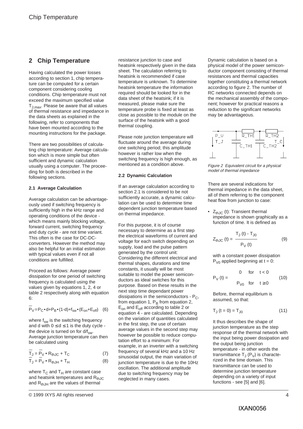## **2 Chip Temperature**

Having calculated the power losses according to section 1, chip temperature can be computed for a certain component considering cooling conditions. Chip temperature must not exceed the maximum specified value TJ,max. Please be aware that all values of thermal resistance and impedance in the data sheets as explained in the following, refer to components that have been mounted according to the mounting instructions for the package.

There are two possibilities of calculating chip temperature: Average calculation which is more simple but often sufficient and dynamic calculation usually using a computer. The proceeding for both is described in the following sections.

#### **2.1 Average Calculation**

Average calculation can be advantageously used if switching frequency is sufficiently high in the kHz range and operating conditions of the device which means mainly blocking voltage. forward current, switching frequency and duty cycle - are not time variant. This often is the case for DC-DCconverters. However the method may also be helpful for an initial estimation with typical values even if not all conditions are fulfilled.

Proceed as follows: Average power dissipation for one period of switching frequency is calculated using the values given by equations 1, 2, 4 or table 2 respectively along with equation 6:

 $P_V = P_C \cdot d + P_B \cdot (1-d) + f_{sw} \cdot (E_{on} + E_{off})$  (6)

where  $f_{sw}$  is the switching frequency and d with  $0 \le d \le 1$  is the duty cycle the device is turned on for  $d/f_{sw}$ . Average junction temperature can then be calculated using

$$
\overline{T}_{J} = \overline{P}_{V} \cdot R_{thJC} + T_{C}
$$
\n
$$
\overline{T}_{J} = \overline{P}_{V} \cdot R_{thJH} + T_{H}
$$
\n(8)

where  $T_C$  and  $T_H$  are constant case and heatsink temperatures and  $R_{thJC}$ and  $R_{th,HH}$  are the values of thermal

resistance junction to case and heatsink respectively given in the data sheet. The calculation referring to heatsink is recommended if case temperature is unknown. To determine heatsink temperature the information required should be looked for in the data sheet of the heatsink; if it is measured, please make sure the temperature probe is fixed at least as close as possible to the module on the surface of the heatsink with a good thermal coupling.

Please note junction temperature will fluctuate around the average during one switching period; this amplitude however is rather low when the switching frequency is high enough, as mentioned as a condition above.

#### **2.2 Dynamic Calculation**

If an average calculation according to section 2.1 is considered to be not sufficiently accurate, a dynamic calculation can be used to determine time dependent junction temperature based on thermal impedance.

For this purpose, it is of course necessary to determine as a first step the electrical waveforms of current and voltage for each switch depending on supply, load and the pulse pattern generated by the control unit: Considering the different electrical and thermal shapes, durations and time constants, it usually will be most suitable to model the power semiconductors as ideal switches for this purpose. Based on these results in the next step time dependant power dissipations in the semiconductors -  $P_C$ , from equation 1,  $P_B$  from equation 2, Eon and Eoff according to table 2 or equation 4 - are calculated. Depending on the variation of quantities calculated in the first step, the use of certain average values in the second step may however be possible to reduce computation effort to a minimum: For example, in an inverter with a switching frequency of several kHz and a 10 Hz sinusoidal output, the main variation of junction temperature is due to the 10Hz oscillation. The additional amplitude due to switching frequency may be neglected in many cases.

Dynamic calculation is based on a physical model of the power semiconductor component consisting of thermal resistances and thermal capacities together constituting a thermal network according to figure 2. The number of RC networks connected depends on the mechanical assembly of the component; however for practical reasons a reduction to the significant networks may be advantageous.



Figure 2 Equivalent circuit for a physical model of thermal impedance

There are several indications for thermal impedance in the data sheet, all of them referring to the component heat flow from junction to case:

 $Z_{thJC}$  (t): Transient thermal impedance is shown graphically as a function of time. It is defined as

$$
Z_{\text{thJC}}\left(t\right) = \frac{T_{\text{J}}\left(t\right) - T_{\text{JO}}}{P_{\text{V}}\left(t\right)}\tag{9}
$$

with a constant power dissipation  $P_{V0}$  applied beginning at t = 0:

$$
P_V(t) = \begin{cases} 0 & \text{for } t < 0 \\ P_{V0} & \text{for } t \ge 0 \end{cases}
$$
 (10)

Before, thermal equilibrium is assumed, so that:

$$
T_{J} (t = 0) = T_{J0}
$$
 (11)

It thus describes the shape of junction temperature as the step response of the thermal network with the input being power dissipation and the output being junction temperature - in other words the transmittance  $T_1(P_1)$  is characterized in the time domain. This transmittance can be used to determine junction temperature depending on a variety of input functions - see [5] and [6].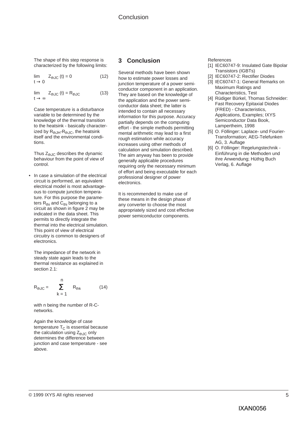## Conclusion

The shape of this step response is characterized by the following limits:

$$
\lim_{t \to 0} Z_{thJC}(t) = 0 \tag{12}
$$

 $\lim_{t \to 0} Z_{th,IC} (t) = R_{th,IC}$  (13)  $t \rightarrow \infty$ 

Case temperature is a disturbance variable to be determined by the knowledge of the thermal transition to the heatsink - basically characterized by  $R_{th, JH}$ - $R_{th, JC}$ , the heatsink itself and the environmental conditions.

Thus  $Z_{th,IC}$  describes the dynamic behaviour from the point of view of control.

• In case a simulation of the electrical circuit is performed, an equivalent electrical model is most advantageous to compute junction temperature. For this purpose the parameters  $R_{thi}$  and  $C_{thi}$  belonging to a circuit as shown in figure 2 may be indicated in the data sheet. This permits to directly integrate the thermal into the electrical simulation. This point of view of electrical circuitry is common to designers of electronics.

The impedance of the network in steady state again leads to the thermal resistance as explained in section 2.1:

$$
R_{thJC} = \sum_{k=1}^{n} R_{thk} \qquad (14)
$$

with n being the number of R-Cnetworks.

Again the knowledge of case temperature  $T<sub>C</sub>$  is essential because the calculation using  $Z_{thJC}$  only determines the difference between junction and case temperature - see above.

## **3 Conclusion**

Several methods have been shown how to estimate power losses and junction temperature of a power semiconductor component in an application. They are based on the knowledge of the application and the power semiconductor data sheet; the latter is intended to contain all necessary information for this purpose. Accuracy partially depends on the computing effort - the simple methods permitting mental arithmetic may lead to a first rough estimation while accuracy increases using other methods of calculation and simulation described. The aim anyway has been to provide generally applicable procedures requiring only the necessary minimum of effort and being executable for each professional designer of power electronics.

It is recommended to make use of these means in the design phase of any converter to choose the most appropriately sized and cost effective power semiconductor components.

References

- [1] IEC60747-9: Insulated Gate Bipolar Transistors (IGBTs)
- [2] IEC60747-2: Rectifier Diodes
- [3] IEC60747-1: General Remarks on Maximum Ratings and Characteristics, Test
- [4] Rüdiger Bürkel, Thomas Schneider: Fast Recovery Epitaxial Diodes (FRED) - Characteristics, Applications, Examples; IXYS Semiconductor Data Book, Lampertheim, 1998
- [5] O. Föllinger: Laplace- und Fourier-Transformation; AEG-Telefunken AG, 3. Auflage
- [6] O. Föllinger: Regelungstechnik Einführung in die Methoden und ihre Anwendung; Hüthig Buch Verlag, 6. Auflage